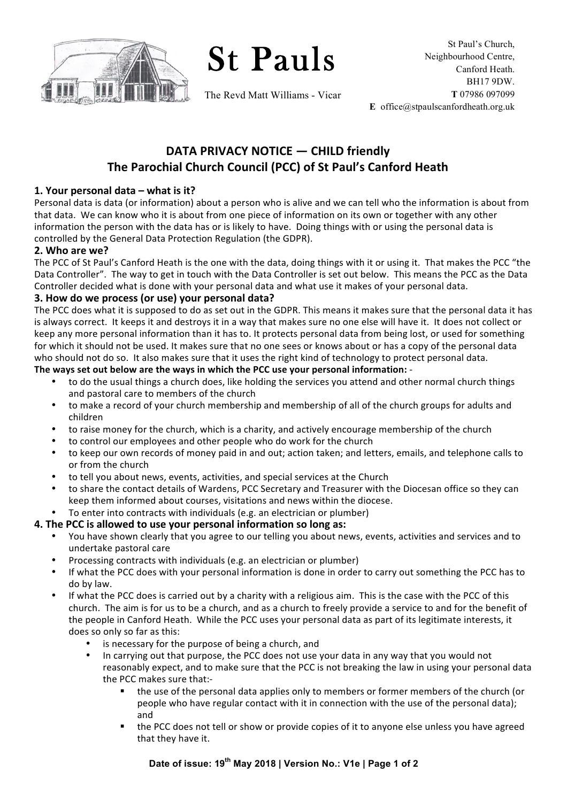

St Pauls

The Revd Matt Williams - Vicar

# **DATA PRIVACY NOTICE — CHILD friendly The Parochial Church Council (PCC) of St Paul's Canford Heath**

#### **1. Your personal data – what is it?**

Personal data is data (or information) about a person who is alive and we can tell who the information is about from that data. We can know who it is about from one piece of information on its own or together with any other information the person with the data has or is likely to have. Doing things with or using the personal data is controlled by the General Data Protection Regulation (the GDPR).

#### **2. Who are we?**

The PCC of St Paul's Canford Heath is the one with the data, doing things with it or using it. That makes the PCC "the Data Controller". The way to get in touch with the Data Controller is set out below. This means the PCC as the Data Controller decided what is done with your personal data and what use it makes of your personal data.

#### **3. How do we process (or use) your personal data?**

The PCC does what it is supposed to do as set out in the GDPR. This means it makes sure that the personal data it has is always correct. It keeps it and destroys it in a way that makes sure no one else will have it. It does not collect or keep any more personal information than it has to. It protects personal data from being lost, or used for something for which it should not be used. It makes sure that no one sees or knows about or has a copy of the personal data who should not do so. It also makes sure that it uses the right kind of technology to protect personal data.

#### The ways set out below are the ways in which the PCC use your personal information: -

- to do the usual things a church does, like holding the services you attend and other normal church things and pastoral care to members of the church
- to make a record of your church membership and membership of all of the church groups for adults and children
- to raise money for the church, which is a charity, and actively encourage membership of the church
- to control our employees and other people who do work for the church
- to keep our own records of money paid in and out; action taken; and letters, emails, and telephone calls to or from the church
- to tell you about news, events, activities, and special services at the Church
- to share the contact details of Wardens, PCC Secretary and Treasurer with the Diocesan office so they can keep them informed about courses, visitations and news within the diocese.
- To enter into contracts with individuals (e.g. an electrician or plumber)

#### **4. The PCC is allowed to use your personal information so long as:**

- You have shown clearly that you agree to our telling you about news, events, activities and services and to undertake pastoral care
- Processing contracts with individuals (e.g. an electrician or plumber)
- If what the PCC does with your personal information is done in order to carry out something the PCC has to do by law.
- If what the PCC does is carried out by a charity with a religious aim. This is the case with the PCC of this church. The aim is for us to be a church, and as a church to freely provide a service to and for the benefit of the people in Canford Heath. While the PCC uses your personal data as part of its legitimate interests, it does so only so far as this:
	- is necessary for the purpose of being a church, and
	- In carrying out that purpose, the PCC does not use your data in any way that you would not reasonably expect, and to make sure that the PCC is not breaking the law in using your personal data the PCC makes sure that:
		- the use of the personal data applies only to members or former members of the church (or people who have regular contact with it in connection with the use of the personal data); and
		- the PCC does not tell or show or provide copies of it to anyone else unless you have agreed that they have it.

## **Date of issue: 19th May 2018 | Version No.: V1e | Page 1 of 2**